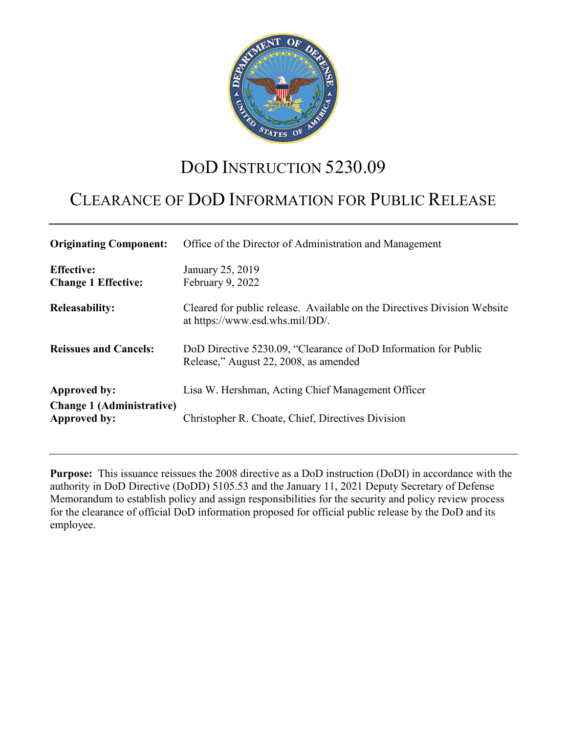

# DOD INSTRUCTION 5230.09

## CLEARANCE OF DOD INFORMATION FOR PUBLIC RELEASE

| <b>Originating Component:</b>                    | Office of the Director of Administration and Management                                                     |
|--------------------------------------------------|-------------------------------------------------------------------------------------------------------------|
| <b>Effective:</b><br><b>Change 1 Effective:</b>  | January 25, 2019<br>February 9, 2022                                                                        |
| <b>Releasability:</b>                            | Cleared for public release. Available on the Directives Division Website<br>at https://www.esd.whs.mil/DD/. |
| <b>Reissues and Cancels:</b>                     | DoD Directive 5230.09, "Clearance of DoD Information for Public<br>Release," August 22, 2008, as amended    |
| Approved by:                                     | Lisa W. Hershman, Acting Chief Management Officer                                                           |
| <b>Change 1 (Administrative)</b><br>Approved by: | Christopher R. Choate, Chief, Directives Division                                                           |

**Purpose:** This issuance reissues the 2008 directive as a DoD instruction (DoDI) in accordance with the authority in DoD Directive (DoDD) 5105.53 and the January 11, 2021 Deputy Secretary of Defense Memorandum to establish policy and assign responsibilities for the security and policy review process for the clearance of official DoD information proposed for official public release by the DoD and its employee.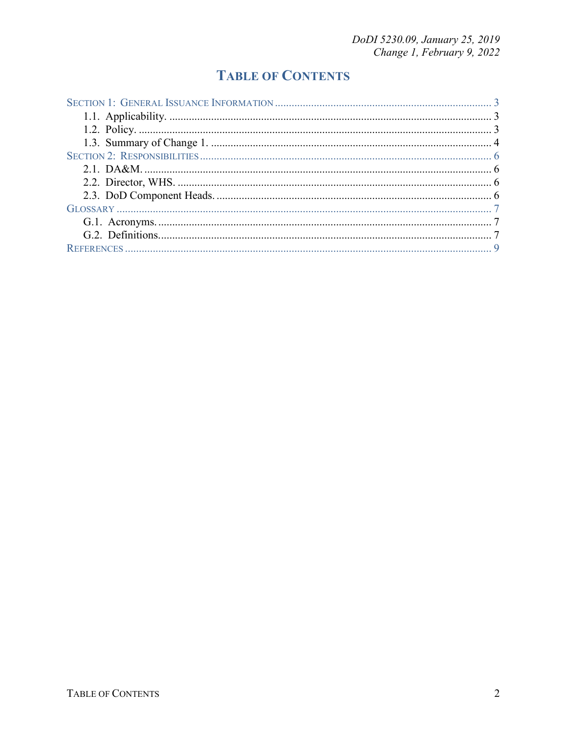## **TABLE OF CONTENTS**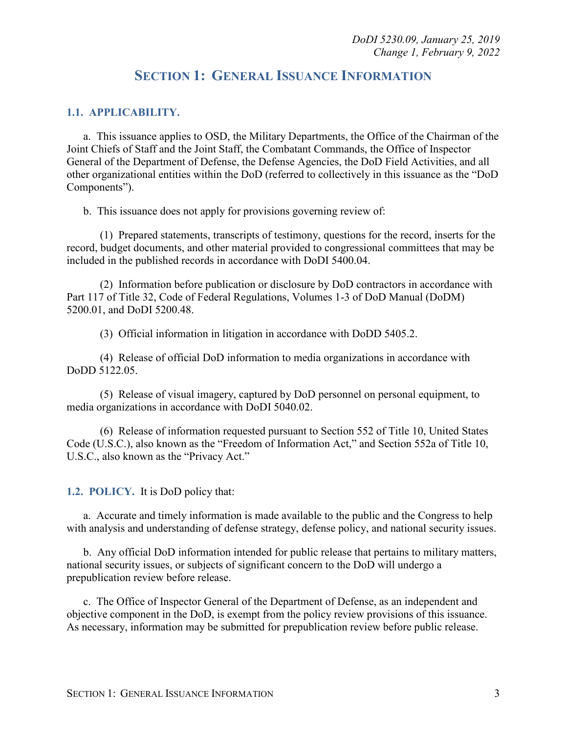### **SECTION 1: GENERAL ISSUANCE INFORMATION**

#### <span id="page-2-1"></span><span id="page-2-0"></span>**1.1. APPLICABILITY.**

a. This issuance applies to OSD, the Military Departments, the Office of the Chairman of the Joint Chiefs of Staff and the Joint Staff, the Combatant Commands, the Office of Inspector General of the Department of Defense, the Defense Agencies, the DoD Field Activities, and all other organizational entities within the DoD (referred to collectively in this issuance as the "DoD Components").

b. This issuance does not apply for provisions governing review of:

(1) Prepared statements, transcripts of testimony, questions for the record, inserts for the record, budget documents, and other material provided to congressional committees that may be included in the published records in accordance with DoDI 5400.04.

(2) Information before publication or disclosure by DoD contractors in accordance with Part 117 of Title 32, Code of Federal Regulations, Volumes 1-3 of DoD Manual (DoDM) 5200.01, and DoDI 5200.48.

(3) Official information in litigation in accordance with DoDD 5405.2.

(4) Release of official DoD information to media organizations in accordance with DoDD 5122.05.

(5) Release of visual imagery, captured by DoD personnel on personal equipment, to media organizations in accordance with DoDI 5040.02.

(6) Release of information requested pursuant to Section 552 of Title 10, United States Code (U.S.C.), also known as the "Freedom of Information Act," and Section 552a of Title 10, U.S.C., also known as the "Privacy Act."

<span id="page-2-2"></span>**1.2. POLICY.** It is DoD policy that:

a. Accurate and timely information is made available to the public and the Congress to help with analysis and understanding of defense strategy, defense policy, and national security issues.

b. Any official DoD information intended for public release that pertains to military matters, national security issues, or subjects of significant concern to the DoD will undergo a prepublication review before release.

c. The Office of Inspector General of the Department of Defense, as an independent and objective component in the DoD, is exempt from the policy review provisions of this issuance. As necessary, information may be submitted for prepublication review before public release.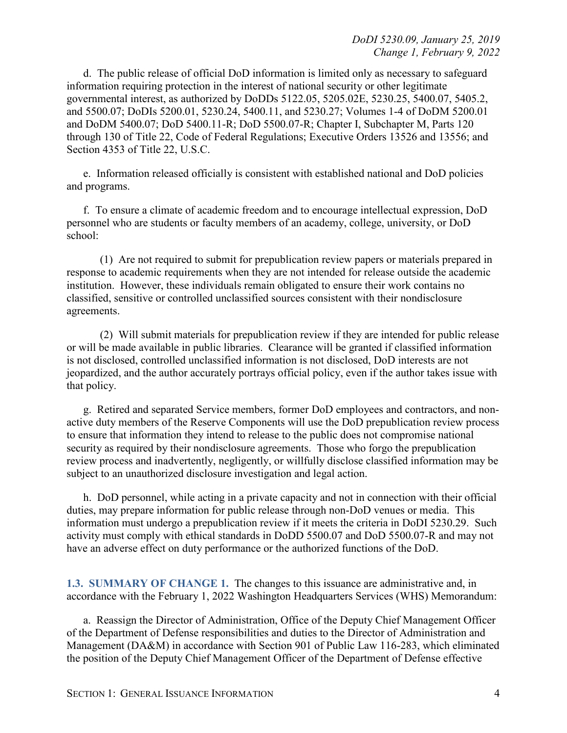d. The public release of official DoD information is limited only as necessary to safeguard information requiring protection in the interest of national security or other legitimate governmental interest, as authorized by DoDDs 5122.05, 5205.02E, 5230.25, 5400.07, 5405.2, and 5500.07; DoDIs 5200.01, 5230.24, 5400.11, and 5230.27; Volumes 1-4 of DoDM 5200.01 and DoDM 5400.07; DoD 5400.11-R; DoD 5500.07-R; Chapter I, Subchapter M, Parts 120 through 130 of Title 22, Code of Federal Regulations; Executive Orders 13526 and 13556; and Section 4353 of Title 22, U.S.C.

e. Information released officially is consistent with established national and DoD policies and programs.

f. To ensure a climate of academic freedom and to encourage intellectual expression, DoD personnel who are students or faculty members of an academy, college, university, or DoD school:

(1) Are not required to submit for prepublication review papers or materials prepared in response to academic requirements when they are not intended for release outside the academic institution. However, these individuals remain obligated to ensure their work contains no classified, sensitive or controlled unclassified sources consistent with their nondisclosure agreements.

(2) Will submit materials for prepublication review if they are intended for public release or will be made available in public libraries. Clearance will be granted if classified information is not disclosed, controlled unclassified information is not disclosed, DoD interests are not jeopardized, and the author accurately portrays official policy, even if the author takes issue with that policy.

g. Retired and separated Service members, former DoD employees and contractors, and nonactive duty members of the Reserve Components will use the DoD prepublication review process to ensure that information they intend to release to the public does not compromise national security as required by their nondisclosure agreements. Those who forgo the prepublication review process and inadvertently, negligently, or willfully disclose classified information may be subject to an unauthorized disclosure investigation and legal action.

h. DoD personnel, while acting in a private capacity and not in connection with their official duties, may prepare information for public release through non-DoD venues or media. This information must undergo a prepublication review if it meets the criteria in DoDI 5230.29. Such activity must comply with ethical standards in DoDD 5500.07 and DoD 5500.07-R and may not have an adverse effect on duty performance or the authorized functions of the DoD.

<span id="page-3-0"></span>**1.3. SUMMARY OF CHANGE 1.** The changes to this issuance are administrative and, in accordance with the February 1, 2022 Washington Headquarters Services (WHS) Memorandum:

a. Reassign the Director of Administration, Office of the Deputy Chief Management Officer of the Department of Defense responsibilities and duties to the Director of Administration and Management (DA&M) in accordance with Section 901 of Public Law 116-283, which eliminated the position of the Deputy Chief Management Officer of the Department of Defense effective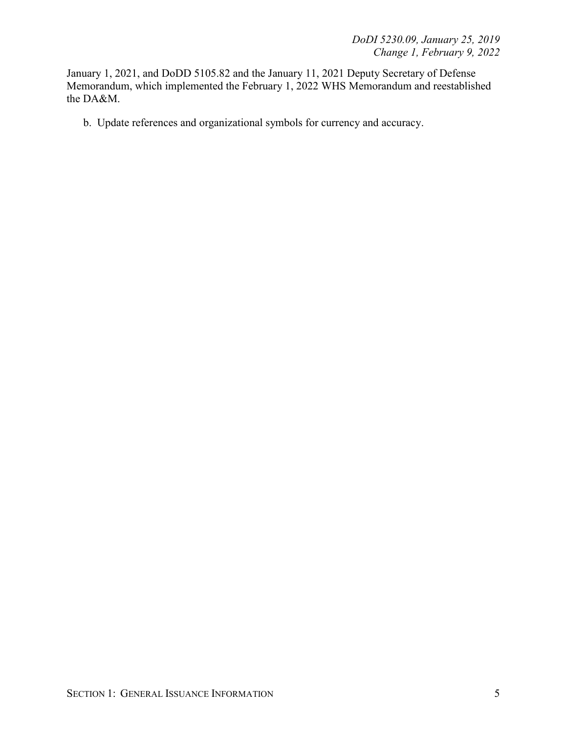January 1, 2021, and DoDD 5105.82 and the January 11, 2021 Deputy Secretary of Defense Memorandum, which implemented the February 1, 2022 WHS Memorandum and reestablished the DA&M.

b. Update references and organizational symbols for currency and accuracy.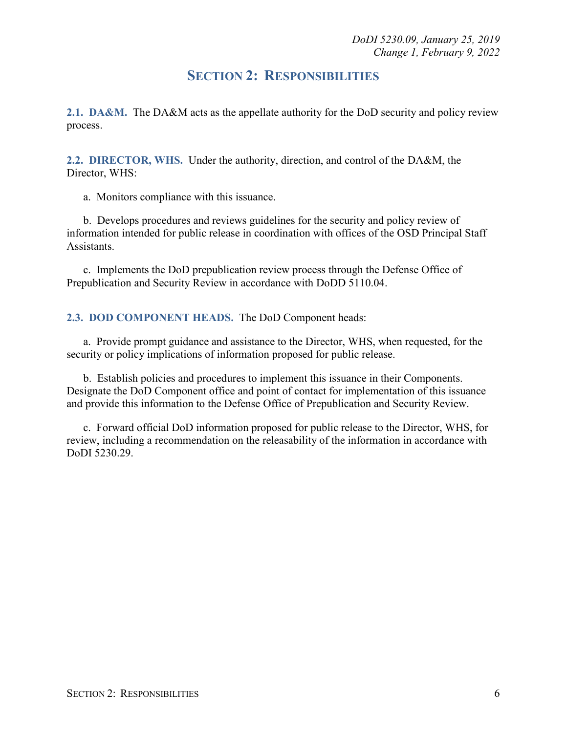### **SECTION 2: RESPONSIBILITIES**

<span id="page-5-1"></span><span id="page-5-0"></span>**2.1. DA&M.** The DA&M acts as the appellate authority for the DoD security and policy review process.

<span id="page-5-2"></span>**2.2. DIRECTOR, WHS.** Under the authority, direction, and control of the DA&M, the Director, WHS:

a. Monitors compliance with this issuance.

b. Develops procedures and reviews guidelines for the security and policy review of information intended for public release in coordination with offices of the OSD Principal Staff Assistants.

c. Implements the DoD prepublication review process through the Defense Office of Prepublication and Security Review in accordance with DoDD 5110.04.

#### <span id="page-5-3"></span>**2.3. DOD COMPONENT HEADS.** The DoD Component heads:

a. Provide prompt guidance and assistance to the Director, WHS, when requested, for the security or policy implications of information proposed for public release.

b. Establish policies and procedures to implement this issuance in their Components. Designate the DoD Component office and point of contact for implementation of this issuance and provide this information to the Defense Office of Prepublication and Security Review.

c. Forward official DoD information proposed for public release to the Director, WHS, for review, including a recommendation on the releasability of the information in accordance with DoDI 5230.29.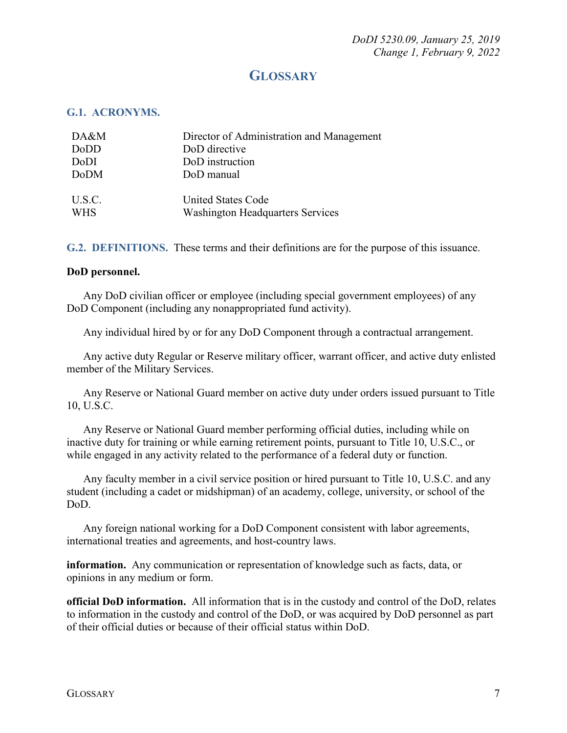## **GLOSSARY**

#### <span id="page-6-1"></span><span id="page-6-0"></span>**G.1. ACRONYMS.**

| DA&M                 | Director of Administration and Management                     |
|----------------------|---------------------------------------------------------------|
| DoDD                 | DoD directive                                                 |
| DoDI                 | DoD instruction                                               |
| DoDM                 | DoD manual                                                    |
| U.S.C.<br><b>WHS</b> | United States Code<br><b>Washington Headquarters Services</b> |

<span id="page-6-2"></span>**G.2. DEFINITIONS.** These terms and their definitions are for the purpose of this issuance.

#### **DoD personnel.**

Any DoD civilian officer or employee (including special government employees) of any DoD Component (including any nonappropriated fund activity).

Any individual hired by or for any DoD Component through a contractual arrangement.

Any active duty Regular or Reserve military officer, warrant officer, and active duty enlisted member of the Military Services.

 Any Reserve or National Guard member on active duty under orders issued pursuant to Title 10, U.S.C.

Any Reserve or National Guard member performing official duties, including while on inactive duty for training or while earning retirement points, pursuant to Title 10, U.S.C., or while engaged in any activity related to the performance of a federal duty or function.

 Any faculty member in a civil service position or hired pursuant to Title 10, U.S.C. and any student (including a cadet or midshipman) of an academy, college, university, or school of the DoD.

 Any foreign national working for a DoD Component consistent with labor agreements, international treaties and agreements, and host-country laws.

**information.** Any communication or representation of knowledge such as facts, data, or opinions in any medium or form.

**official DoD information.** All information that is in the custody and control of the DoD, relates to information in the custody and control of the DoD, or was acquired by DoD personnel as part of their official duties or because of their official status within DoD.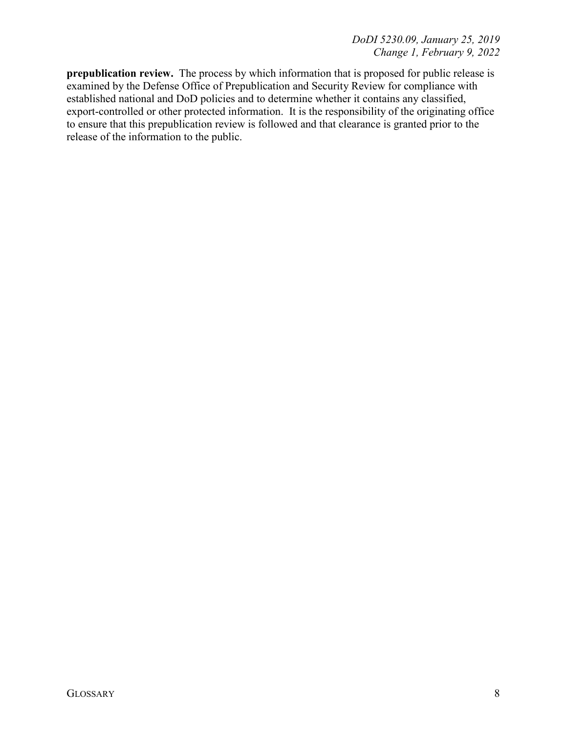**prepublication review.** The process by which information that is proposed for public release is examined by the Defense Office of Prepublication and Security Review for compliance with established national and DoD policies and to determine whether it contains any classified, export-controlled or other protected information. It is the responsibility of the originating office to ensure that this prepublication review is followed and that clearance is granted prior to the release of the information to the public.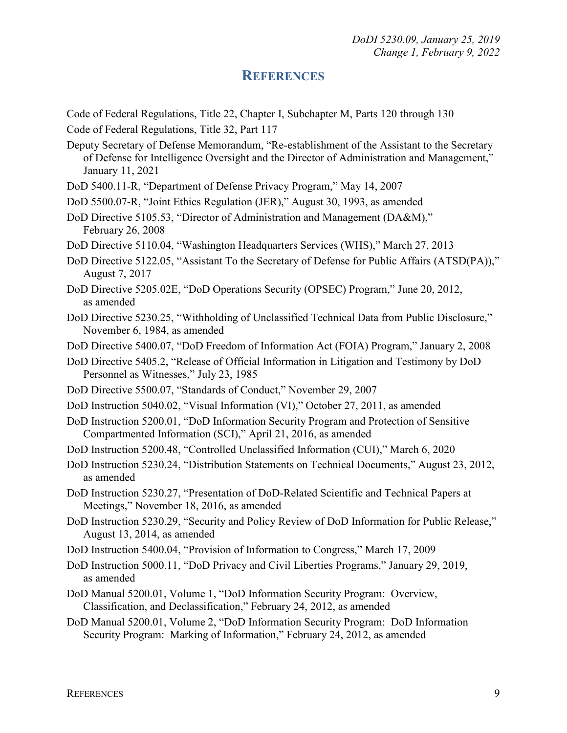### **REFERENCES**

- <span id="page-8-0"></span>Code of Federal Regulations, Title 22, Chapter I, Subchapter M, Parts 120 through 130
- Code of Federal Regulations, Title 32, Part 117
- Deputy Secretary of Defense Memorandum, "Re-establishment of the Assistant to the Secretary of Defense for Intelligence Oversight and the Director of Administration and Management," January 11, 2021
- DoD 5400.11-R, "Department of Defense Privacy Program," May 14, 2007
- DoD 5500.07-R, "Joint Ethics Regulation (JER)," August 30, 1993, as amended
- DoD Directive 5105.53, "Director of Administration and Management (DA&M)," February 26, 2008
- DoD Directive 5110.04, "Washington Headquarters Services (WHS)," March 27, 2013
- DoD Directive 5122.05, "Assistant To the Secretary of Defense for Public Affairs (ATSD(PA))," August 7, 2017
- DoD Directive 5205.02E, "DoD Operations Security (OPSEC) Program," June 20, 2012, as amended
- DoD Directive 5230.25, "Withholding of Unclassified Technical Data from Public Disclosure," November 6, 1984, as amended
- DoD Directive 5400.07, "DoD Freedom of Information Act (FOIA) Program," January 2, 2008
- DoD Directive 5405.2, "Release of Official Information in Litigation and Testimony by DoD Personnel as Witnesses," July 23, 1985
- DoD Directive 5500.07, "Standards of Conduct," November 29, 2007
- DoD Instruction 5040.02, "Visual Information (VI)," October 27, 2011, as amended
- DoD Instruction 5200.01, "DoD Information Security Program and Protection of Sensitive Compartmented Information (SCI)," April 21, 2016, as amended
- DoD Instruction 5200.48, "Controlled Unclassified Information (CUI)," March 6, 2020
- DoD Instruction 5230.24, "Distribution Statements on Technical Documents," August 23, 2012, as amended
- DoD Instruction 5230.27, "Presentation of DoD-Related Scientific and Technical Papers at Meetings," November 18, 2016, as amended
- DoD Instruction 5230.29, "Security and Policy Review of DoD Information for Public Release," August 13, 2014, as amended
- DoD Instruction 5400.04, "Provision of Information to Congress," March 17, 2009
- DoD Instruction 5000.11, "DoD Privacy and Civil Liberties Programs," January 29, 2019, as amended
- DoD Manual 5200.01, Volume 1, "DoD Information Security Program: Overview, Classification, and Declassification," February 24, 2012, as amended
- DoD Manual 5200.01, Volume 2, "DoD Information Security Program: DoD Information Security Program: Marking of Information," February 24, 2012, as amended